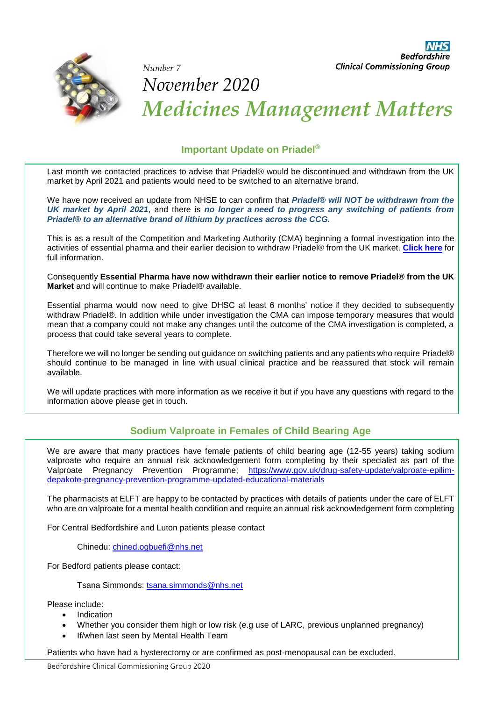

# **Bedfordshire Clinical Commissioning Group** *Number 7 November 2020 Medicines Management Matters*

## **Important Update on Priadel®**

Last month we contacted practices to advise that Priadel® would be discontinued and withdrawn from the UK market by April 2021 and patients would need to be switched to an alternative brand.

We have now received an update from NHSE to can confirm that *Priadel® will NOT be withdrawn from the UK market by April 2021*, and there is *no longer a need to progress any switching of patients from Priadel® to an alternative brand of lithium by practices across the CCG.*

This is as a result of the Competition and Marketing Authority (CMA) beginning a formal investigation into the activities of essential pharma and their earlier decision to withdraw Priadel® from the UK market. **[Click here](https://www.gov.uk/cma-cases/investigation-into-supply-of-lithium-based-medication-for-the-treatment-of-bipolar-disease?utm_source=624bb2d2-40ae-4db9-a032-36e2b76aef8e&utm_medium=email&utm_campaign=govuk-notifications&utm_content=immediate)** for full information.

Consequently **Essential Pharma have now withdrawn their earlier notice to remove Priadel® from the UK Market** and will continue to make Priadel® available.

Essential pharma would now need to give DHSC at least 6 months' notice if they decided to subsequently withdraw Priadel®. In addition while under investigation the CMA can impose temporary measures that would mean that a company could not make any changes until the outcome of the CMA investigation is completed, a process that could take several years to complete.

Therefore we will no longer be sending out guidance on switching patients and any patients who require Priadel® should continue to be managed in line with usual clinical practice and be reassured that stock will remain available.

We will update practices with more information as we receive it but if you have any questions with regard to the information above please get in touch.

### **Sodium Valproate in Females of Child Bearing Age**

We are aware that many practices have female patients of child bearing age (12-55 years) taking sodium valproate who require an annual risk acknowledgement form completing by their specialist as part of the Valproate Pregnancy Prevention Programme; [https://www.gov.uk/drug-safety-update/valproate-epilim](https://www.gov.uk/drug-safety-update/valproate-epilim-depakote-pregnancy-prevention-programme-updated-educational-materials)[depakote-pregnancy-prevention-programme-updated-educational-materials](https://www.gov.uk/drug-safety-update/valproate-epilim-depakote-pregnancy-prevention-programme-updated-educational-materials)

The pharmacists at ELFT are happy to be contacted by practices with details of patients under the care of ELFT who are on valproate for a mental health condition and require an annual risk acknowledgement form completing

For Central Bedfordshire and Luton patients please contact

Chinedu: [chined.ogbuefi@nhs.net](mailto:chined.ogbuefi@nhs.net)

For Bedford patients please contact:

Tsana Simmonds: [tsana.simmonds@nhs.net](mailto:tsana.simmonds@nhs.net)

Please include:

- Indication
- Whether you consider them high or low risk (e.g use of LARC, previous unplanned pregnancy)
- If/when last seen by Mental Health Team

Patients who have had a hysterectomy or are confirmed as post-menopausal can be excluded.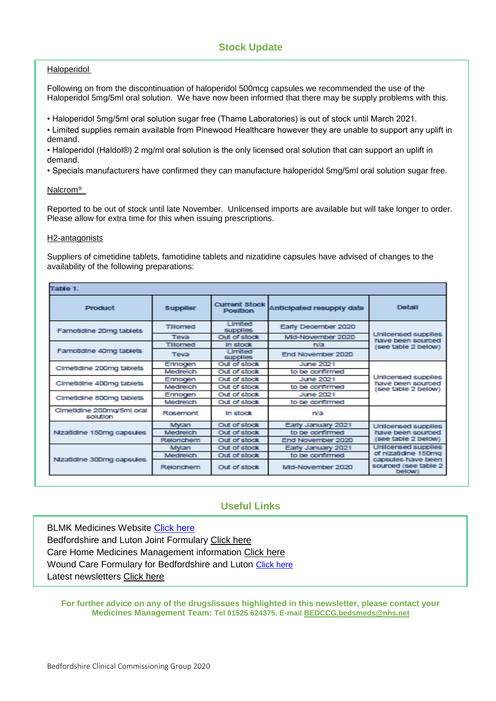### **Stock Update**

### Haloperidol

Following on from the discontinuation of haloperidol 500mcg capsules we recommended the use of the Haloperidol 5mg/5ml oral solution. We have now been informed that there may be supply problems with this.

• Haloperidol 5mg/5ml oral solution sugar free (Thame Laboratories) is out of stock until March 2021.

• Limited supplies remain available from Pinewood Healthcare however they are unable to support any uplift in demand.

• Haloperidol (Haldol®) 2 mg/ml oral solution is the only licensed oral solution that can support an uplift in demand.

• Specials manufacturers have confirmed they can manufacture haloperidol 5mg/5ml oral solution sugar free.

#### Nalcrom®

Reported to be out of stock until late November. Unlicensed imports are available but will take longer to order. Please allow for extra time for this when issuing prescriptions.

#### H2-antagonists

Suppliers of cimetidine tablets, famotidine tablets and nizatidine capsules have advised of changes to the availability of the following preparations:

| Table 1.                              |                 |                                         |                           |                                                                 |  |  |  |
|---------------------------------------|-----------------|-----------------------------------------|---------------------------|-----------------------------------------------------------------|--|--|--|
| Product                               | <b>Supplier</b> | <b>Current Stock</b><br><b>Position</b> | Anticipated resupply date | <b>Detail</b>                                                   |  |  |  |
| Famotidine 20mg tablets               | Tillomed        | <b>Limited</b><br><b>supplies</b>       | Early December 2020       |                                                                 |  |  |  |
|                                       | Teva            | Out of stock                            | Mid-November 2020         | Unilcensed supplies<br>have been sourced                        |  |  |  |
|                                       | Tillomed        | In stock                                | n/a                       | see table 2 below)                                              |  |  |  |
| Famotidine 40mg tablets               | <b>Teva</b>     | <b>Limited</b><br><b>supplies</b>       | End November 2020         |                                                                 |  |  |  |
| Cimetidine 200mg tablets              | Ennogen         | Out of stock                            | June 2021                 |                                                                 |  |  |  |
|                                       | Medreich        | Out of stock                            | to be confirmed           |                                                                 |  |  |  |
| Cimetidine 400mg tablets              | Ennogen         | Out of stock                            | <b>June 2021</b>          | Unilcensed supplies<br>have been sourced                        |  |  |  |
|                                       | Medreich        | Out of stock                            | to be confirmed           | (see table 2 below)                                             |  |  |  |
| Cimetidine 800mg tablets              | Ennogen         | Out of stock                            | <b>June 2021</b>          |                                                                 |  |  |  |
|                                       | Medreich        | Out of stock                            | to be confirmed           |                                                                 |  |  |  |
| Cimetidine 200mg/5ml oral<br>solution | Rosemont        | In stock                                | n/a                       |                                                                 |  |  |  |
| Nizatidine 150mg capsules             | Mylan           | Out of stock                            | Early January 2021        | Unlicensed supplies<br>have been sourced<br>(see table 2 below) |  |  |  |
|                                       | Medreich        | Out of stock                            | to be confirmed           |                                                                 |  |  |  |
|                                       | Relonchem       | Out of stock                            | End November 2020         |                                                                 |  |  |  |
|                                       | Mwan            | Out of stock                            | Early January 2021        | Unilcensed supplies<br>of nizatidine 150mg                      |  |  |  |
| Nizatidine 300mg capsules             | Medreich        | Out of stock                            | to be confirmed           |                                                                 |  |  |  |
|                                       | Relonchem       |                                         | Mid-November 2020         | capsules have been<br>sourced (see table 2<br>below)            |  |  |  |

### **Useful Links**

**BLMK Medicines Website [Click here](https://medicines.blmkccg.nhs.uk/)** Bedfordshire and Luton Joint Formulary [Click here](http://www.bedsformulary.nhs.uk/) Care Home Medicines Management information [Click here](https://medicines.blmkccg.nhs.uk/categories/care-homes/) Wound Care Formulary for Bedfordshire and Luton [Click here](https://viewer.microguide.global/mo/100000007) Latest newsletters [Click here](https://medicines.blmkccg.nhs.uk/all-newsletters/)

**For further advice on any of the drugs/issues highlighted in this newsletter, please contact your Medicines Management Team: Tel 01525 624375. E-mail [BEDCCG.bedsmeds@nhs.net](mailto:BEDCCG.bedsmeds@nhs.net)**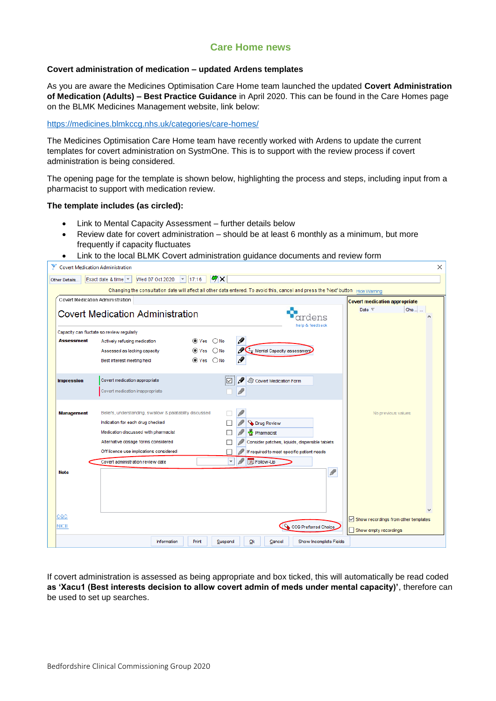### **Care Home news**

### **Covert administration of medication – updated Ardens templates**

As you are aware the Medicines Optimisation Care Home team launched the updated **Covert Administration of Medication (Adults) – Best Practice Guidance** in April 2020. This can be found in the Care Homes page on the BLMK Medicines Management website, link below:

#### <https://medicines.blmkccg.nhs.uk/categories/care-homes/>

The Medicines Optimisation Care Home team have recently worked with Ardens to update the current templates for covert administration on SystmOne. This is to support with the review process if covert administration is being considered.

The opening page for the template is shown below, highlighting the process and steps, including input from a pharmacist to support with medication review.

#### **The template includes (as circled):**

- Link to Mental Capacity Assessment further details below
- Review date for covert administration should be at least 6 monthly as a minimum, but more frequently if capacity fluctuates
- Link to the local BLMK Covert administration guidance documents and review form

|                                                                                   | <b>Covert Medication Administration</b>                                                                                           |                                                 |                                                                                     |                 | ×                                    |  |  |  |
|-----------------------------------------------------------------------------------|-----------------------------------------------------------------------------------------------------------------------------------|-------------------------------------------------|-------------------------------------------------------------------------------------|-----------------|--------------------------------------|--|--|--|
| Other Details                                                                     | Exact date & time   =<br>Wed 07 Oct 2020                                                                                          | $\triangledown$   17:16<br>$\mathcal{F} \times$ |                                                                                     |                 |                                      |  |  |  |
|                                                                                   | Changing the consultation date will affect all other data entered. To avoid this, cancel and press the 'Next' button Hide Warning |                                                 |                                                                                     |                 |                                      |  |  |  |
|                                                                                   | Covert Medication Administration                                                                                                  |                                                 |                                                                                     |                 | <b>Covert medication appropriate</b> |  |  |  |
|                                                                                   | <b>Covert Medication Administration</b>                                                                                           |                                                 |                                                                                     | dens            | Che<br>Date $\nabla$                 |  |  |  |
|                                                                                   | Capacity can fluctate so review regularly                                                                                         |                                                 |                                                                                     | help & feedback |                                      |  |  |  |
| <b>Assessment</b>                                                                 | Actively refusing medication                                                                                                      | $\circledcirc$ Yes $\circledcirc$ No            | Ø                                                                                   |                 |                                      |  |  |  |
|                                                                                   | Assessed as lacking capacity                                                                                                      | $\circledcirc$ Yes $\circlearrowright$ No       | I<br>$\begin{array}{ c c }\n\hline\n\text{ }\end{array}$ Mental Capacity assessment |                 |                                      |  |  |  |
|                                                                                   | Best interest meeting held                                                                                                        | $\circledcirc$ Yes $\circlearrowright$ No       | Ø                                                                                   |                 |                                      |  |  |  |
|                                                                                   | Covert medication appropriate                                                                                                     |                                                 |                                                                                     |                 |                                      |  |  |  |
| <b>Impression</b>                                                                 | Covert medication inappropriate                                                                                                   |                                                 | Ø<br>Covert Medication Form                                                         |                 |                                      |  |  |  |
|                                                                                   |                                                                                                                                   |                                                 |                                                                                     |                 |                                      |  |  |  |
| <b>Management</b>                                                                 | Beliefs, understanding, swallow & palatability discussed                                                                          |                                                 |                                                                                     |                 | No previous values                   |  |  |  |
|                                                                                   | Indication for each drug checked                                                                                                  |                                                 | <b>Drug Review</b>                                                                  |                 |                                      |  |  |  |
|                                                                                   | Medication discussed with pharmacist                                                                                              |                                                 | Pharmacist                                                                          |                 |                                      |  |  |  |
|                                                                                   | Alternative dosage forms considered                                                                                               |                                                 | Consider patches, liqiuids, dispersible tablets                                     |                 |                                      |  |  |  |
|                                                                                   | Off licence use implications considered                                                                                           |                                                 | If required to meet specific patient needs                                          |                 |                                      |  |  |  |
|                                                                                   | Covert administration review date                                                                                                 | $\vert \mathbf{v} \vert$                        | 31 Follow-Up                                                                        |                 |                                      |  |  |  |
| <b>Note</b>                                                                       |                                                                                                                                   |                                                 |                                                                                     | I               |                                      |  |  |  |
|                                                                                   |                                                                                                                                   |                                                 |                                                                                     |                 |                                      |  |  |  |
|                                                                                   |                                                                                                                                   |                                                 |                                                                                     |                 |                                      |  |  |  |
|                                                                                   |                                                                                                                                   |                                                 |                                                                                     |                 |                                      |  |  |  |
| cac                                                                               |                                                                                                                                   | Show recordings from other templates            |                                                                                     |                 |                                      |  |  |  |
| <b>NICE</b>                                                                       | CCG Preferred Choice<br>Show empty recordings                                                                                     |                                                 |                                                                                     |                 |                                      |  |  |  |
| Print<br>Ok<br>Show Incomplete Fields<br>Information<br>Suspend<br><u>C</u> ancel |                                                                                                                                   |                                                 |                                                                                     |                 |                                      |  |  |  |
|                                                                                   |                                                                                                                                   |                                                 |                                                                                     |                 |                                      |  |  |  |

If covert administration is assessed as being appropriate and box ticked, this will automatically be read coded **as 'Xacu1 (Best interests decision to allow covert admin of meds under mental capacity)'**, therefore can be used to set up searches.